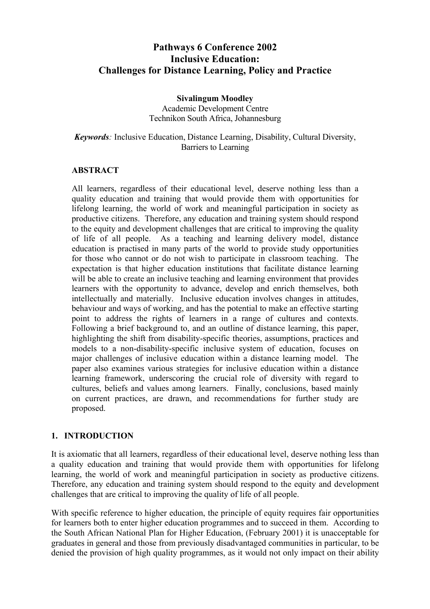# **Pathways 6 Conference 2002 Inclusive Education: Challenges for Distance Learning, Policy and Practice**

#### **Sivalingum Moodley**  Academic Development Centre Technikon South Africa, Johannesburg

#### *Keywords:* Inclusive Education, Distance Learning, Disability, Cultural Diversity, Barriers to Learning

#### **ABSTRACT**

All learners, regardless of their educational level, deserve nothing less than a quality education and training that would provide them with opportunities for lifelong learning, the world of work and meaningful participation in society as productive citizens. Therefore, any education and training system should respond to the equity and development challenges that are critical to improving the quality of life of all people. As a teaching and learning delivery model, distance education is practised in many parts of the world to provide study opportunities for those who cannot or do not wish to participate in classroom teaching. The expectation is that higher education institutions that facilitate distance learning will be able to create an inclusive teaching and learning environment that provides learners with the opportunity to advance, develop and enrich themselves, both intellectually and materially. Inclusive education involves changes in attitudes, behaviour and ways of working, and has the potential to make an effective starting point to address the rights of learners in a range of cultures and contexts. Following a brief background to, and an outline of distance learning, this paper, highlighting the shift from disability-specific theories, assumptions, practices and models to a non-disability-specific inclusive system of education, focuses on major challenges of inclusive education within a distance learning model. The paper also examines various strategies for inclusive education within a distance learning framework, underscoring the crucial role of diversity with regard to cultures, beliefs and values among learners. Finally, conclusions, based mainly on current practices, are drawn, and recommendations for further study are proposed.

#### **1. INTRODUCTION**

It is axiomatic that all learners, regardless of their educational level, deserve nothing less than a quality education and training that would provide them with opportunities for lifelong learning, the world of work and meaningful participation in society as productive citizens. Therefore, any education and training system should respond to the equity and development challenges that are critical to improving the quality of life of all people.

With specific reference to higher education, the principle of equity requires fair opportunities for learners both to enter higher education programmes and to succeed in them. According to the South African National Plan for Higher Education, (February 2001) it is unacceptable for graduates in general and those from previously disadvantaged communities in particular, to be denied the provision of high quality programmes, as it would not only impact on their ability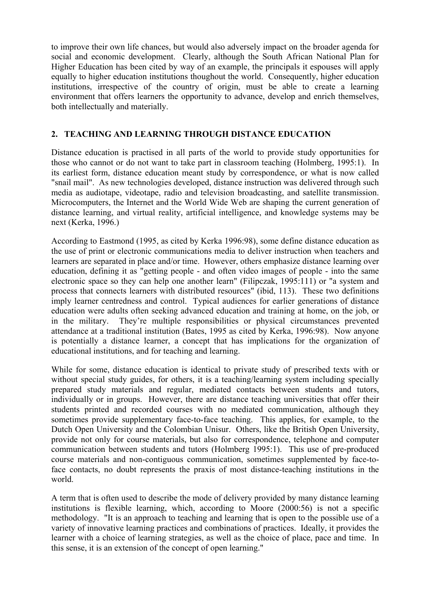to improve their own life chances, but would also adversely impact on the broader agenda for social and economic development. Clearly, although the South African National Plan for Higher Education has been cited by way of an example, the principals it espouses will apply equally to higher education institutions thoughout the world. Consequently, higher education institutions, irrespective of the country of origin, must be able to create a learning environment that offers learners the opportunity to advance, develop and enrich themselves, both intellectually and materially.

### **2. TEACHING AND LEARNING THROUGH DISTANCE EDUCATION**

Distance education is practised in all parts of the world to provide study opportunities for those who cannot or do not want to take part in classroom teaching (Holmberg, 1995:1). In its earliest form, distance education meant study by correspondence, or what is now called "snail mail". As new technologies developed, distance instruction was delivered through such media as audiotape, videotape, radio and television broadcasting, and satellite transmission. Microcomputers, the Internet and the World Wide Web are shaping the current generation of distance learning, and virtual reality, artificial intelligence, and knowledge systems may be next (Kerka, 1996.)

According to Eastmond (1995, as cited by Kerka 1996:98), some define distance education as the use of print or electronic communications media to deliver instruction when teachers and learners are separated in place and/or time. However, others emphasize distance learning over education, defining it as "getting people - and often video images of people - into the same electronic space so they can help one another learn" (Filipczak, 1995:111) or "a system and process that connects learners with distributed resources" (ibid, 113). These two definitions imply learner centredness and control. Typical audiences for earlier generations of distance education were adults often seeking advanced education and training at home, on the job, or in the military. They're multiple responsibilities or physical circumstances prevented attendance at a traditional institution (Bates, 1995 as cited by Kerka, 1996:98). Now anyone is potentially a distance learner, a concept that has implications for the organization of educational institutions, and for teaching and learning.

While for some, distance education is identical to private study of prescribed texts with or without special study guides, for others, it is a teaching/learning system including specially prepared study materials and regular, mediated contacts between students and tutors, individually or in groups. However, there are distance teaching universities that offer their students printed and recorded courses with no mediated communication, although they sometimes provide supplementary face-to-face teaching. This applies, for example, to the Dutch Open University and the Colombian Unisur. Others, like the British Open University, provide not only for course materials, but also for correspondence, telephone and computer communication between students and tutors (Holmberg 1995:1). This use of pre-produced course materials and non-contiguous communication, sometimes supplemented by face-toface contacts, no doubt represents the praxis of most distance-teaching institutions in the world.

A term that is often used to describe the mode of delivery provided by many distance learning institutions is flexible learning, which, according to Moore (2000:56) is not a specific methodology. "It is an approach to teaching and learning that is open to the possible use of a variety of innovative learning practices and combinations of practices. Ideally, it provides the learner with a choice of learning strategies, as well as the choice of place, pace and time. In this sense, it is an extension of the concept of open learning."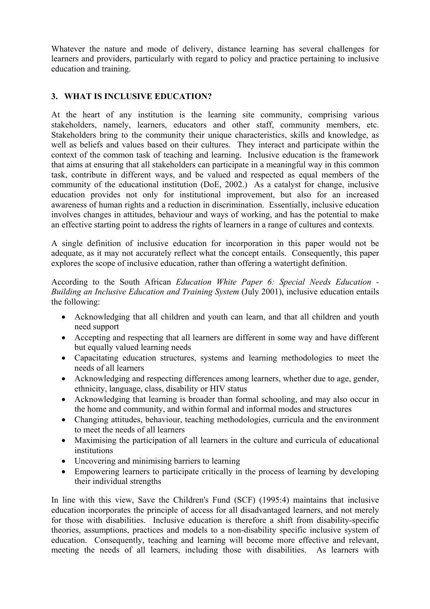Whatever the nature and mode of delivery, distance learning has several challenges for learners and providers, particularly with regard to policy and practice pertaining to inclusive education and training.

### **3. WHAT IS INCLUSIVE EDUCATION?**

At the heart of any institution is the learning site community, comprising various stakeholders, namely, learners, educators and other staff, community members, etc. Stakeholders bring to the community their unique characteristics, skills and knowledge, as well as beliefs and values based on their cultures. They interact and participate within the context of the common task of teaching and learning. Inclusive education is the framework that aims at ensuring that all stakeholders can participate in a meaningful way in this common task, contribute in different ways, and be valued and respected as equal members of the community of the educational institution (DoE, 2002.) As a catalyst for change, inclusive education provides not only for institutional improvement, but also for an increased awareness of human rights and a reduction in discrimination. Essentially, inclusive education involves changes in attitudes, behaviour and ways of working, and has the potential to make an effective starting point to address the rights of learners in a range of cultures and contexts.

A single definition of inclusive education for incorporation in this paper would not be adequate, as it may not accurately reflect what the concept entails. Consequently, this paper explores the scope of inclusive education, rather than offering a watertight definition.

According to the South African *Education White Paper 6: Special Needs Education - Building an Inclusive Education and Training System* (July 2001), inclusive education entails the following:

- Acknowledging that all children and youth can learn, and that all children and youth need support
- Accepting and respecting that all learners are different in some way and have different but equally valued learning needs
- Capacitating education structures, systems and learning methodologies to meet the needs of all learners
- Acknowledging and respecting differences among learners, whether due to age, gender, ethnicity, language, class, disability or HIV status
- Acknowledging that learning is broader than formal schooling, and may also occur in the home and community, and within formal and informal modes and structures
- Changing attitudes, behaviour, teaching methodologies, curricula and the environment to meet the needs of all learners
- Maximising the participation of all learners in the culture and curricula of educational institutions
- Uncovering and minimising barriers to learning
- Empowering learners to participate critically in the process of learning by developing their individual strengths

In line with this view, Save the Children's Fund (SCF) (1995:4) maintains that inclusive education incorporates the principle of access for all disadvantaged learners, and not merely for those with disabilities. Inclusive education is therefore a shift from disability-specific theories, assumptions, practices and models to a non-disability specific inclusive system of education. Consequently, teaching and learning will become more effective and relevant, meeting the needs of all learners, including those with disabilities. As learners with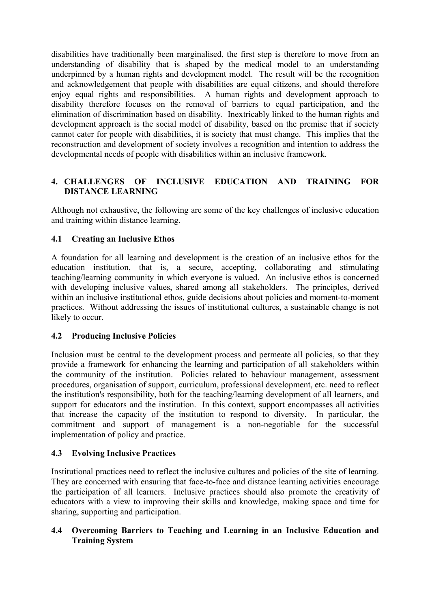disabilities have traditionally been marginalised, the first step is therefore to move from an understanding of disability that is shaped by the medical model to an understanding underpinned by a human rights and development model. The result will be the recognition and acknowledgement that people with disabilities are equal citizens, and should therefore enjoy equal rights and responsibilities. A human rights and development approach to disability therefore focuses on the removal of barriers to equal participation, and the elimination of discrimination based on disability. Inextricably linked to the human rights and development approach is the social model of disability, based on the premise that if society cannot cater for people with disabilities, it is society that must change. This implies that the reconstruction and development of society involves a recognition and intention to address the developmental needs of people with disabilities within an inclusive framework.

### **4. CHALLENGES OF INCLUSIVE EDUCATION AND TRAINING FOR DISTANCE LEARNING**

Although not exhaustive, the following are some of the key challenges of inclusive education and training within distance learning.

#### **4.1 Creating an Inclusive Ethos**

A foundation for all learning and development is the creation of an inclusive ethos for the education institution, that is, a secure, accepting, collaborating and stimulating teaching/learning community in which everyone is valued. An inclusive ethos is concerned with developing inclusive values, shared among all stakeholders. The principles, derived within an inclusive institutional ethos, guide decisions about policies and moment-to-moment practices. Without addressing the issues of institutional cultures, a sustainable change is not likely to occur.

#### **4.2 Producing Inclusive Policies**

Inclusion must be central to the development process and permeate all policies, so that they provide a framework for enhancing the learning and participation of all stakeholders within the community of the institution. Policies related to behaviour management, assessment procedures, organisation of support, curriculum, professional development, etc. need to reflect the institution's responsibility, both for the teaching/learning development of all learners, and support for educators and the institution. In this context, support encompasses all activities that increase the capacity of the institution to respond to diversity. In particular, the commitment and support of management is a non-negotiable for the successful implementation of policy and practice.

#### **4.3 Evolving Inclusive Practices**

Institutional practices need to reflect the inclusive cultures and policies of the site of learning. They are concerned with ensuring that face-to-face and distance learning activities encourage the participation of all learners. Inclusive practices should also promote the creativity of educators with a view to improving their skills and knowledge, making space and time for sharing, supporting and participation.

#### **4.4 Overcoming Barriers to Teaching and Learning in an Inclusive Education and Training System**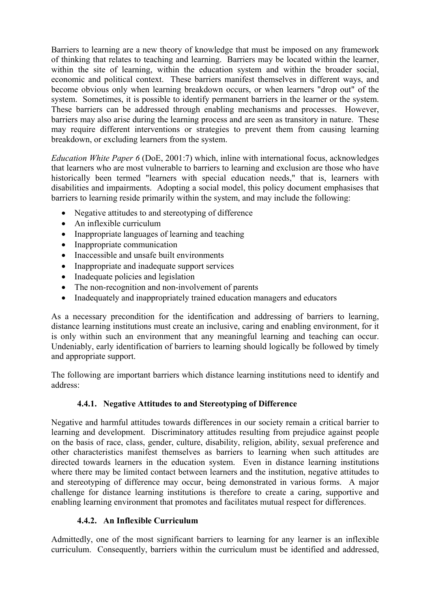Barriers to learning are a new theory of knowledge that must be imposed on any framework of thinking that relates to teaching and learning. Barriers may be located within the learner, within the site of learning, within the education system and within the broader social, economic and political context. These barriers manifest themselves in different ways, and become obvious only when learning breakdown occurs, or when learners "drop out" of the system. Sometimes, it is possible to identify permanent barriers in the learner or the system. These barriers can be addressed through enabling mechanisms and processes. However, barriers may also arise during the learning process and are seen as transitory in nature. These may require different interventions or strategies to prevent them from causing learning breakdown, or excluding learners from the system.

*Education White Paper 6* (DoE, 2001:7) which, inline with international focus, acknowledges that learners who are most vulnerable to barriers to learning and exclusion are those who have historically been termed "learners with special education needs," that is, learners with disabilities and impairments. Adopting a social model, this policy document emphasises that barriers to learning reside primarily within the system, and may include the following:

- Negative attitudes to and stereotyping of difference
- An inflexible curriculum
- Inappropriate languages of learning and teaching
- Inappropriate communication
- Inaccessible and unsafe built environments
- Inappropriate and inadequate support services
- Inadequate policies and legislation
- The non-recognition and non-involvement of parents
- Inadequately and inappropriately trained education managers and educators

As a necessary precondition for the identification and addressing of barriers to learning, distance learning institutions must create an inclusive, caring and enabling environment, for it is only within such an environment that any meaningful learning and teaching can occur. Undeniably, early identification of barriers to learning should logically be followed by timely and appropriate support.

The following are important barriers which distance learning institutions need to identify and address:

#### **4.4.1. Negative Attitudes to and Stereotyping of Difference**

Negative and harmful attitudes towards differences in our society remain a critical barrier to learning and development. Discriminatory attitudes resulting from prejudice against people on the basis of race, class, gender, culture, disability, religion, ability, sexual preference and other characteristics manifest themselves as barriers to learning when such attitudes are directed towards learners in the education system. Even in distance learning institutions where there may be limited contact between learners and the institution, negative attitudes to and stereotyping of difference may occur, being demonstrated in various forms. A major challenge for distance learning institutions is therefore to create a caring, supportive and enabling learning environment that promotes and facilitates mutual respect for differences.

#### **4.4.2. An Inflexible Curriculum**

Admittedly, one of the most significant barriers to learning for any learner is an inflexible curriculum. Consequently, barriers within the curriculum must be identified and addressed,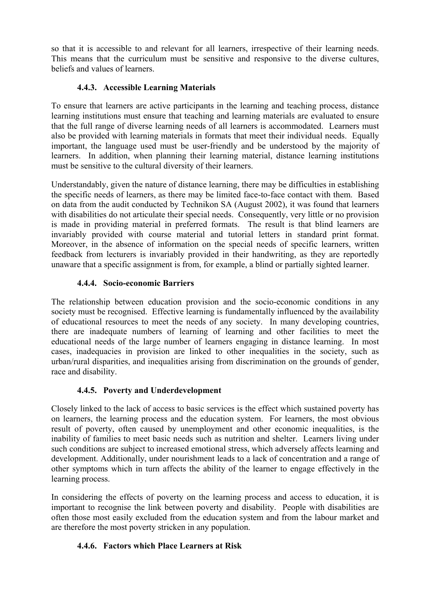so that it is accessible to and relevant for all learners, irrespective of their learning needs. This means that the curriculum must be sensitive and responsive to the diverse cultures, beliefs and values of learners.

### **4.4.3. Accessible Learning Materials**

To ensure that learners are active participants in the learning and teaching process, distance learning institutions must ensure that teaching and learning materials are evaluated to ensure that the full range of diverse learning needs of all learners is accommodated. Learners must also be provided with learning materials in formats that meet their individual needs. Equally important, the language used must be user-friendly and be understood by the majority of learners. In addition, when planning their learning material, distance learning institutions must be sensitive to the cultural diversity of their learners.

Understandably, given the nature of distance learning, there may be difficulties in establishing the specific needs of learners, as there may be limited face-to-face contact with them. Based on data from the audit conducted by Technikon SA (August 2002), it was found that learners with disabilities do not articulate their special needs. Consequently, very little or no provision is made in providing material in preferred formats. The result is that blind learners are invariably provided with course material and tutorial letters in standard print format. Moreover, in the absence of information on the special needs of specific learners, written feedback from lecturers is invariably provided in their handwriting, as they are reportedly unaware that a specific assignment is from, for example, a blind or partially sighted learner.

### **4.4.4. Socio-economic Barriers**

The relationship between education provision and the socio-economic conditions in any society must be recognised. Effective learning is fundamentally influenced by the availability of educational resources to meet the needs of any society. In many developing countries, there are inadequate numbers of learning of learning and other facilities to meet the educational needs of the large number of learners engaging in distance learning. In most cases, inadequacies in provision are linked to other inequalities in the society, such as urban/rural disparities, and inequalities arising from discrimination on the grounds of gender, race and disability.

## **4.4.5. Poverty and Underdevelopment**

Closely linked to the lack of access to basic services is the effect which sustained poverty has on learners, the learning process and the education system. For learners, the most obvious result of poverty, often caused by unemployment and other economic inequalities, is the inability of families to meet basic needs such as nutrition and shelter. Learners living under such conditions are subject to increased emotional stress, which adversely affects learning and development. Additionally, under nourishment leads to a lack of concentration and a range of other symptoms which in turn affects the ability of the learner to engage effectively in the learning process.

In considering the effects of poverty on the learning process and access to education, it is important to recognise the link between poverty and disability. People with disabilities are often those most easily excluded from the education system and from the labour market and are therefore the most poverty stricken in any population.

## **4.4.6. Factors which Place Learners at Risk**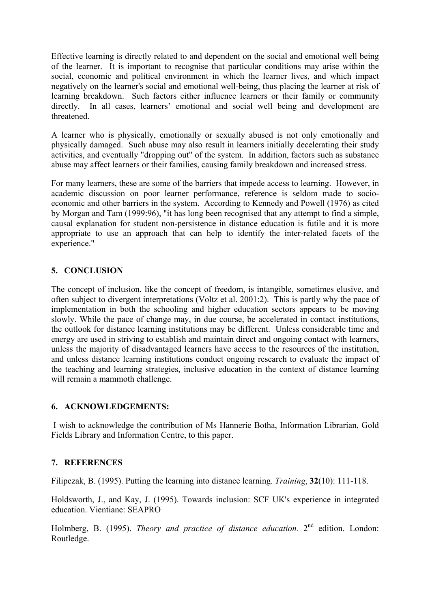Effective learning is directly related to and dependent on the social and emotional well being of the learner. It is important to recognise that particular conditions may arise within the social, economic and political environment in which the learner lives, and which impact negatively on the learner's social and emotional well-being, thus placing the learner at risk of learning breakdown. Such factors either influence learners or their family or community directly. In all cases, learners' emotional and social well being and development are threatened.

A learner who is physically, emotionally or sexually abused is not only emotionally and physically damaged. Such abuse may also result in learners initially decelerating their study activities, and eventually "dropping out" of the system. In addition, factors such as substance abuse may affect learners or their families, causing family breakdown and increased stress.

For many learners, these are some of the barriers that impede access to learning. However, in academic discussion on poor learner performance, reference is seldom made to socioeconomic and other barriers in the system. According to Kennedy and Powell (1976) as cited by Morgan and Tam (1999:96), "it has long been recognised that any attempt to find a simple, causal explanation for student non-persistence in distance education is futile and it is more appropriate to use an approach that can help to identify the inter-related facets of the experience."

### **5. CONCLUSION**

The concept of inclusion, like the concept of freedom, is intangible, sometimes elusive, and often subject to divergent interpretations (Voltz et al. 2001:2). This is partly why the pace of implementation in both the schooling and higher education sectors appears to be moving slowly. While the pace of change may, in due course, be accelerated in contact institutions, the outlook for distance learning institutions may be different. Unless considerable time and energy are used in striving to establish and maintain direct and ongoing contact with learners, unless the majority of disadvantaged learners have access to the resources of the institution, and unless distance learning institutions conduct ongoing research to evaluate the impact of the teaching and learning strategies, inclusive education in the context of distance learning will remain a mammoth challenge.

#### **6. ACKNOWLEDGEMENTS:**

 I wish to acknowledge the contribution of Ms Hannerie Botha, Information Librarian, Gold Fields Library and Information Centre, to this paper.

#### **7. REFERENCES**

Filipczak, B. (1995). Putting the learning into distance learning. *Training*, **32**(10): 111-118.

Holdsworth, J., and Kay, J. (1995). Towards inclusion: SCF UK's experience in integrated education. Vientiane: SEAPRO

Holmberg, B. (1995). *Theory and practice of distance education*. 2<sup>nd</sup> edition. London: Routledge.